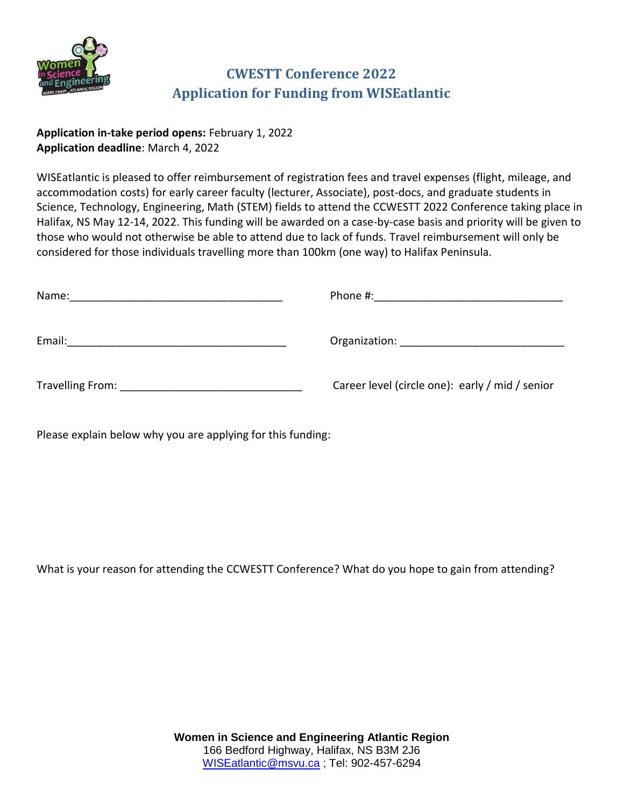

## **CWESTT Conference 2022 Application for Funding from WISEatlantic**

**Application in-take period opens:** February 1, 2022 **Application deadline**: March 4, 2022

WISEatlantic is pleased to offer reimbursement of registration fees and travel expenses (flight, mileage, and accommodation costs) for early career faculty (lecturer, Associate), post-docs, and graduate students in Science, Technology, Engineering, Math (STEM) fields to attend the CCWESTT 2022 Conference taking place in Halifax, NS May 12-14, 2022. This funding will be awarded on a case-by-case basis and priority will be given to those who would not otherwise be able to attend due to lack of funds. Travel reimbursement will only be considered for those individuals travelling more than 100km (one way) to Halifax Peninsula.

| Name:  | Phone #:<br><u> 1980 - John Stone, amerikansk politiker (</u> |  |
|--------|---------------------------------------------------------------|--|
| Email: |                                                               |  |
|        | Career level (circle one): early / mid / senior               |  |

Please explain below why you are applying for this funding:

What is your reason for attending the CCWESTT Conference? What do you hope to gain from attending?